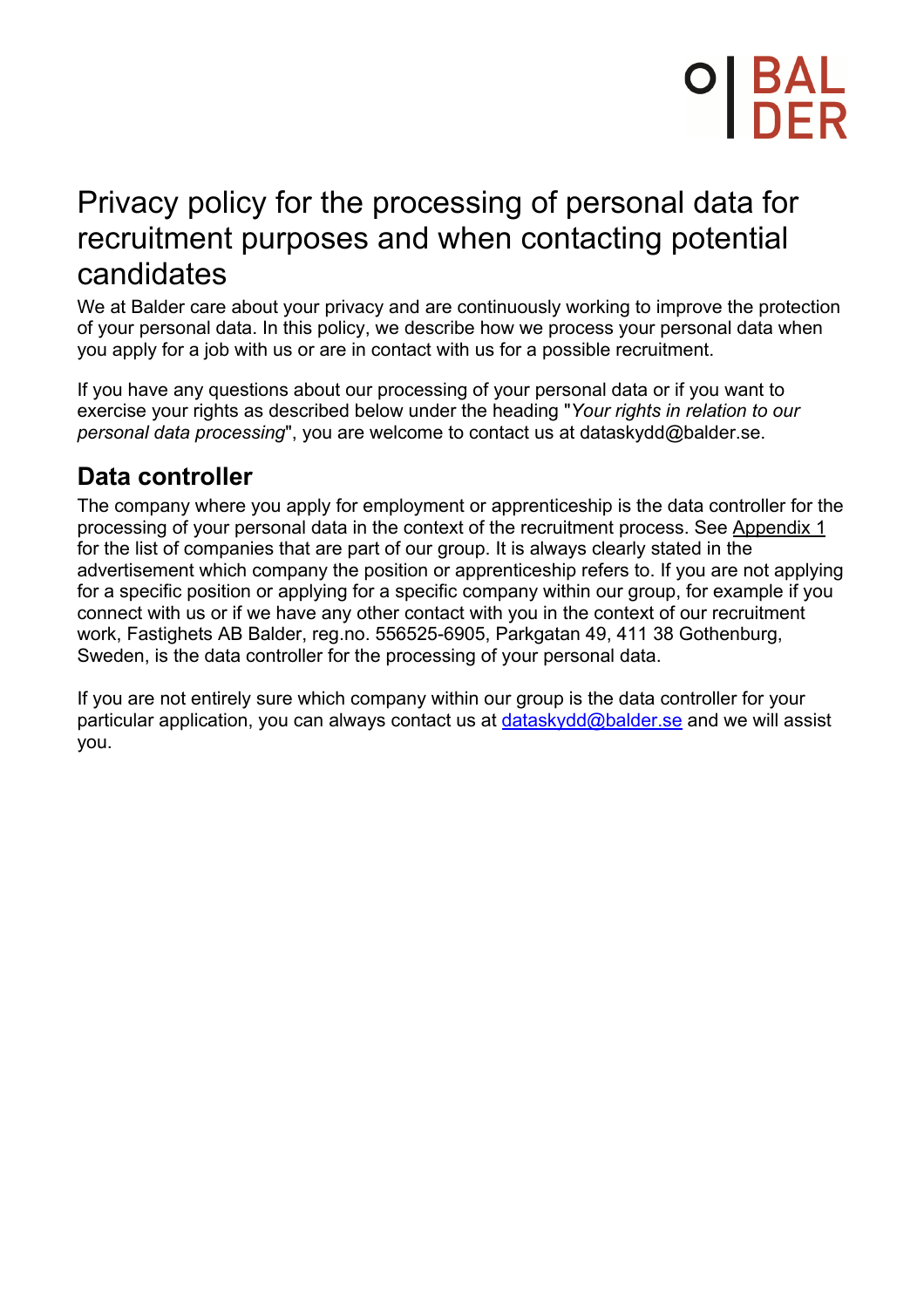# Privacy policy for the processing of personal data for recruitment purposes and when contacting potential candidates

We at Balder care about your privacy and are continuously working to improve the protection of your personal data. In this policy, we describe how we process your personal data when you apply for a job with us or are in contact with us for a possible recruitment.

If you have any questions about our processing of your personal data or if you want to exercise your rights as described below under the heading "*Your rights in relation to our personal data processing*", you are welcome to contact us at dataskydd@balder.se.

## **Data controller**

The company where you apply for employment or apprenticeship is the data controller for the processing of your personal data in the context of the recruitment process. See Appendix 1 for the list of companies that are part of our group. It is always clearly stated in the advertisement which company the position or apprenticeship refers to. If you are not applying for a specific position or applying for a specific company within our group, for example if you connect with us or if we have any other contact with you in the context of our recruitment work, Fastighets AB Balder, reg.no. 556525-6905, Parkgatan 49, 411 38 Gothenburg, Sweden, is the data controller for the processing of your personal data.

If you are not entirely sure which company within our group is the data controller for your particular application, you can always contact us at dataskydd@balder.se and we will assist you.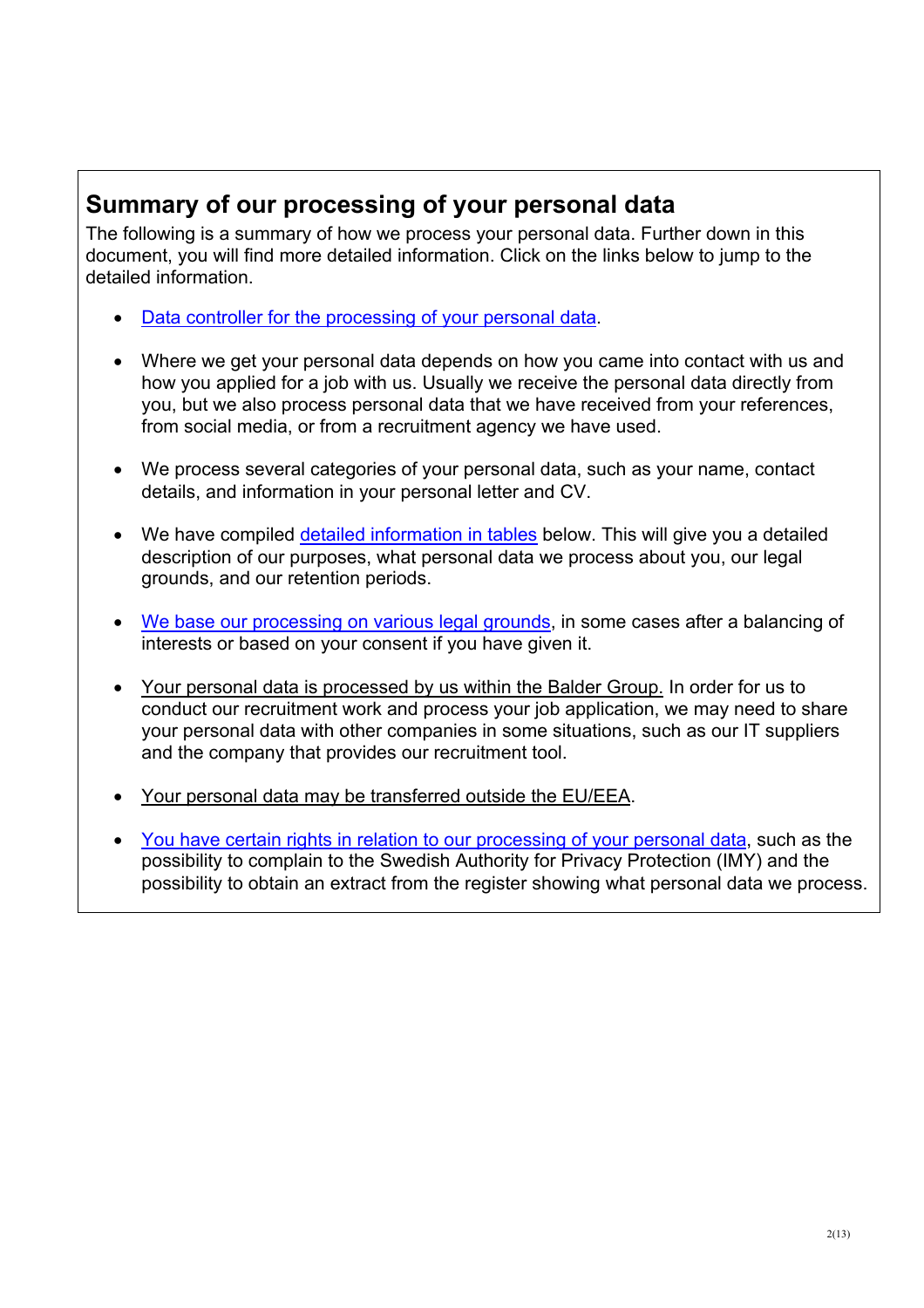## **Summary of our processing of your personal data**

The following is a summary of how we process your personal data. Further down in this document, you will find more detailed information. Click on the links below to jump to the detailed information.

- Data controller for the processing of your personal data.
- Where we get your personal data depends on how you came into contact with us and how you applied for a job with us. Usually we receive the personal data directly from you, but we also process personal data that we have received from your references, from social media, or from a recruitment agency we have used.
- We process several categories of your personal data, such as your name, contact details, and information in your personal letter and CV.
- We have compiled detailed information in tables below. This will give you a detailed description of our purposes, what personal data we process about you, our legal grounds, and our retention periods.
- We base our processing on various legal grounds, in some cases after a balancing of interests or based on your consent if you have given it.
- Your personal data is processed by us within the Balder Group. In order for us to conduct our recruitment work and process your job application, we may need to share your personal data with other companies in some situations, such as our IT suppliers and the company that provides our recruitment tool.
- Your personal data may be transferred outside the EU/EEA.
- You have certain rights in relation to our processing of your personal data, such as the possibility to complain to the Swedish Authority for Privacy Protection (IMY) and the possibility to obtain an extract from the register showing what personal data we process.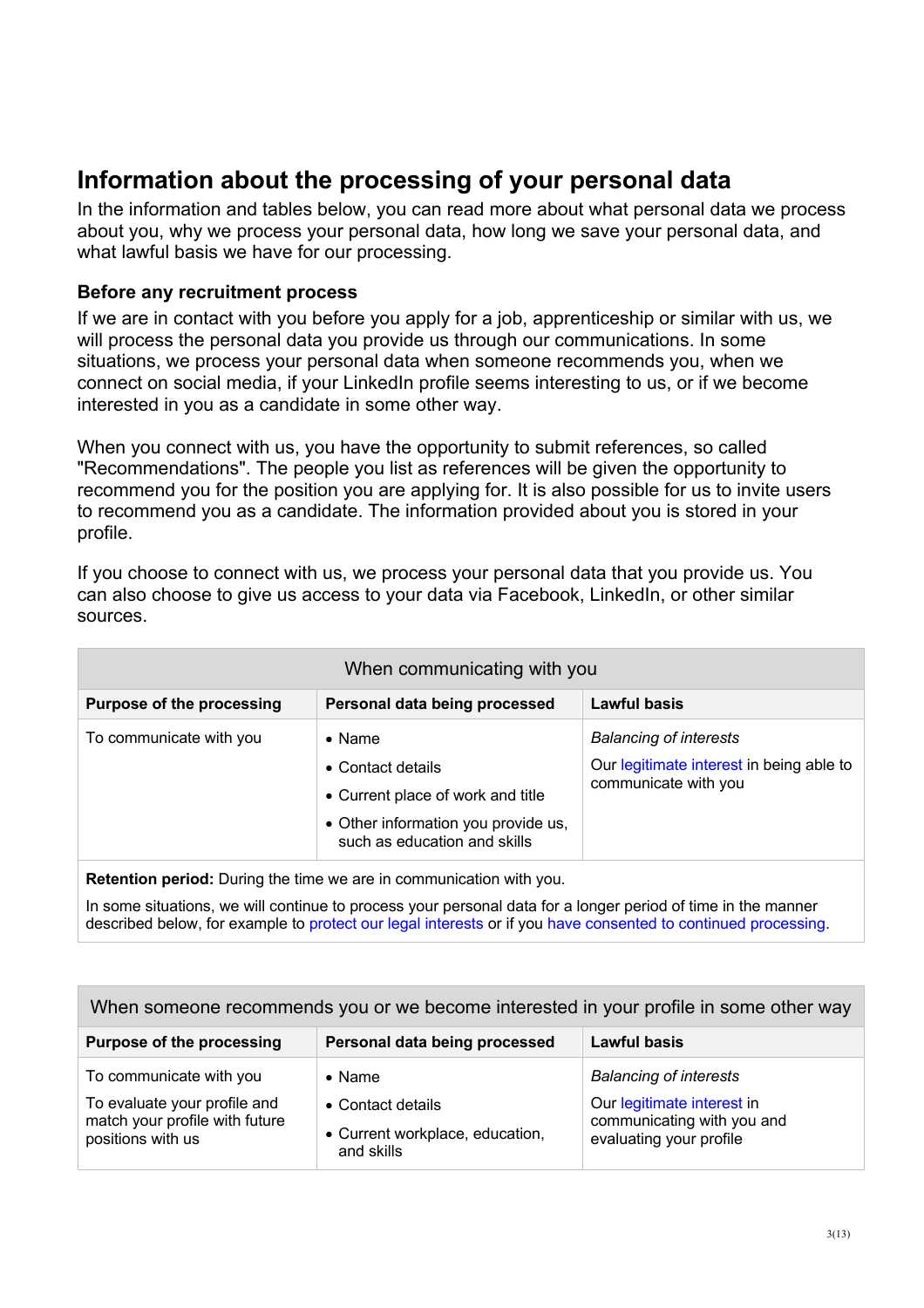## **Information about the processing of your personal data**

In the information and tables below, you can read more about what personal data we process about you, why we process your personal data, how long we save your personal data, and what lawful basis we have for our processing.

## **Before any recruitment process**

If we are in contact with you before you apply for a job, apprenticeship or similar with us, we will process the personal data you provide us through our communications. In some situations, we process your personal data when someone recommends you, when we connect on social media, if your LinkedIn profile seems interesting to us, or if we become interested in you as a candidate in some other way.

When you connect with us, you have the opportunity to submit references, so called "Recommendations". The people you list as references will be given the opportunity to recommend you for the position you are applying for. It is also possible for us to invite users to recommend you as a candidate. The information provided about you is stored in your profile.

If you choose to connect with us, we process your personal data that you provide us. You can also choose to give us access to your data via Facebook, LinkedIn, or other similar sources.

| When communicating with you      |                                                                                                                                                 |                                                                                                   |
|----------------------------------|-------------------------------------------------------------------------------------------------------------------------------------------------|---------------------------------------------------------------------------------------------------|
| <b>Purpose of the processing</b> | Personal data being processed                                                                                                                   | <b>Lawful basis</b>                                                                               |
| To communicate with you          | $\bullet$ Name<br>• Contact details<br>• Current place of work and title<br>• Other information you provide us,<br>such as education and skills | <b>Balancing of interests</b><br>Our legitimate interest in being able to<br>communicate with you |
|                                  |                                                                                                                                                 |                                                                                                   |

**Retention period:** During the time we are in communication with you.

In some situations, we will continue to process your personal data for a longer period of time in the manner described below, for example to protect our legal interests or if you have consented to continued processing.

| When someone recommends you or we become interested in your profile in some other way                          |                                                                                      |                                                                                                                      |
|----------------------------------------------------------------------------------------------------------------|--------------------------------------------------------------------------------------|----------------------------------------------------------------------------------------------------------------------|
| <b>Purpose of the processing</b>                                                                               | Personal data being processed                                                        | <b>Lawful basis</b>                                                                                                  |
| To communicate with you<br>To evaluate your profile and<br>match your profile with future<br>positions with us | $\bullet$ Name<br>• Contact details<br>• Current workplace, education,<br>and skills | <b>Balancing of interests</b><br>Our legitimate interest in<br>communicating with you and<br>evaluating your profile |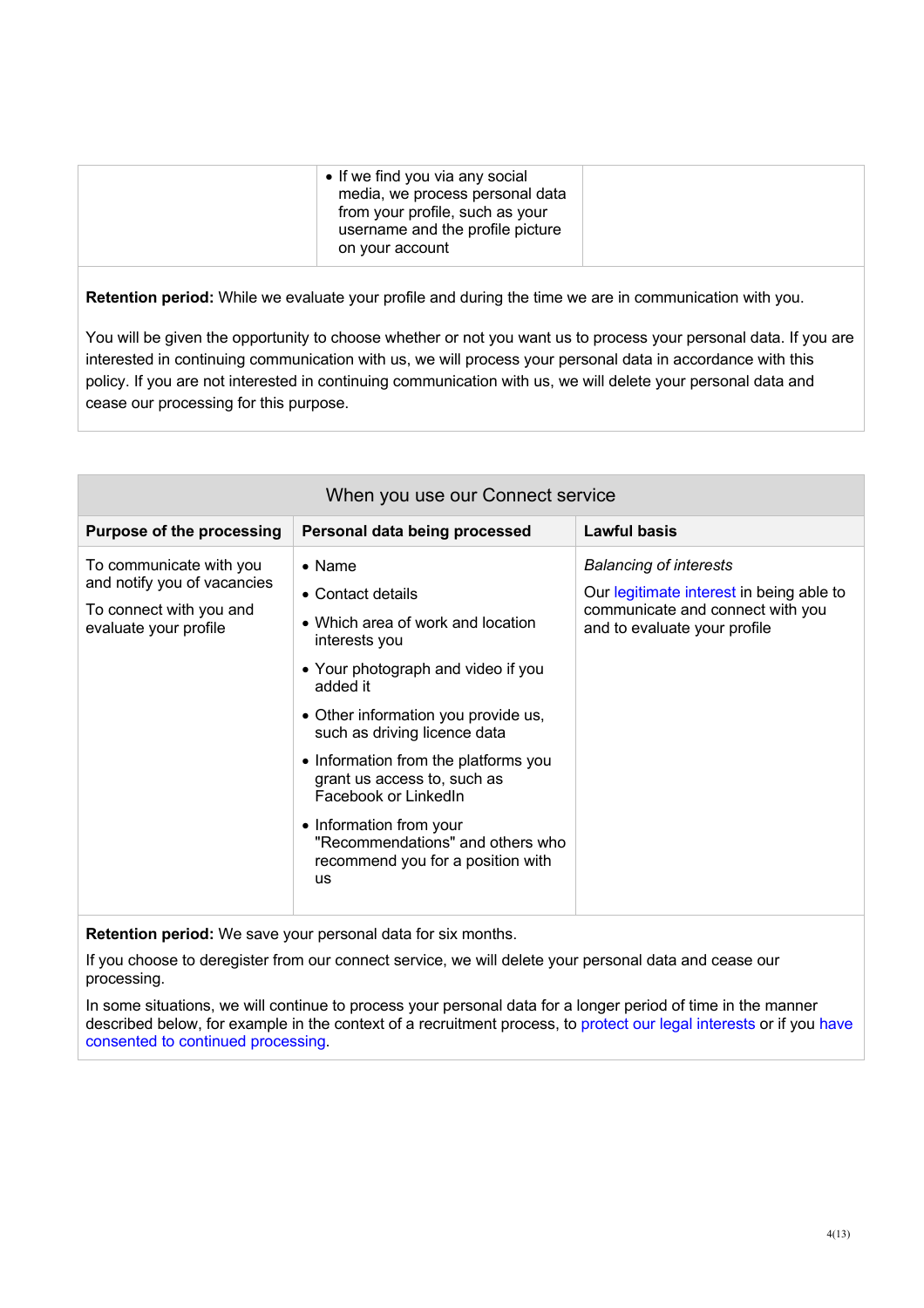**Retention period:** While we evaluate your profile and during the time we are in communication with you.

You will be given the opportunity to choose whether or not you want us to process your personal data. If you are interested in continuing communication with us, we will process your personal data in accordance with this policy. If you are not interested in continuing communication with us, we will delete your personal data and cease our processing for this purpose.

| When you use our Connect service                                                                           |                                                                                                                                                                                                                                                                                                                                                                                                                                    |                                                                                                                                               |
|------------------------------------------------------------------------------------------------------------|------------------------------------------------------------------------------------------------------------------------------------------------------------------------------------------------------------------------------------------------------------------------------------------------------------------------------------------------------------------------------------------------------------------------------------|-----------------------------------------------------------------------------------------------------------------------------------------------|
| <b>Purpose of the processing</b>                                                                           | Personal data being processed                                                                                                                                                                                                                                                                                                                                                                                                      | Lawful basis                                                                                                                                  |
| To communicate with you<br>and notify you of vacancies<br>To connect with you and<br>evaluate your profile | $\bullet$ Name<br>• Contact details<br>• Which area of work and location<br>interests you<br>• Your photograph and video if you<br>added it<br>• Other information you provide us,<br>such as driving licence data<br>• Information from the platforms you<br>grant us access to, such as<br>Facebook or LinkedIn<br>• Information from your<br>"Recommendations" and others who<br>recommend you for a position with<br><b>US</b> | <b>Balancing of interests</b><br>Our legitimate interest in being able to<br>communicate and connect with you<br>and to evaluate your profile |

**Retention period:** We save your personal data for six months.

If you choose to deregister from our connect service, we will delete your personal data and cease our processing.

In some situations, we will continue to process your personal data for a longer period of time in the manner described below, for example in the context of a recruitment process, to protect our legal interests or if you have consented to continued processing.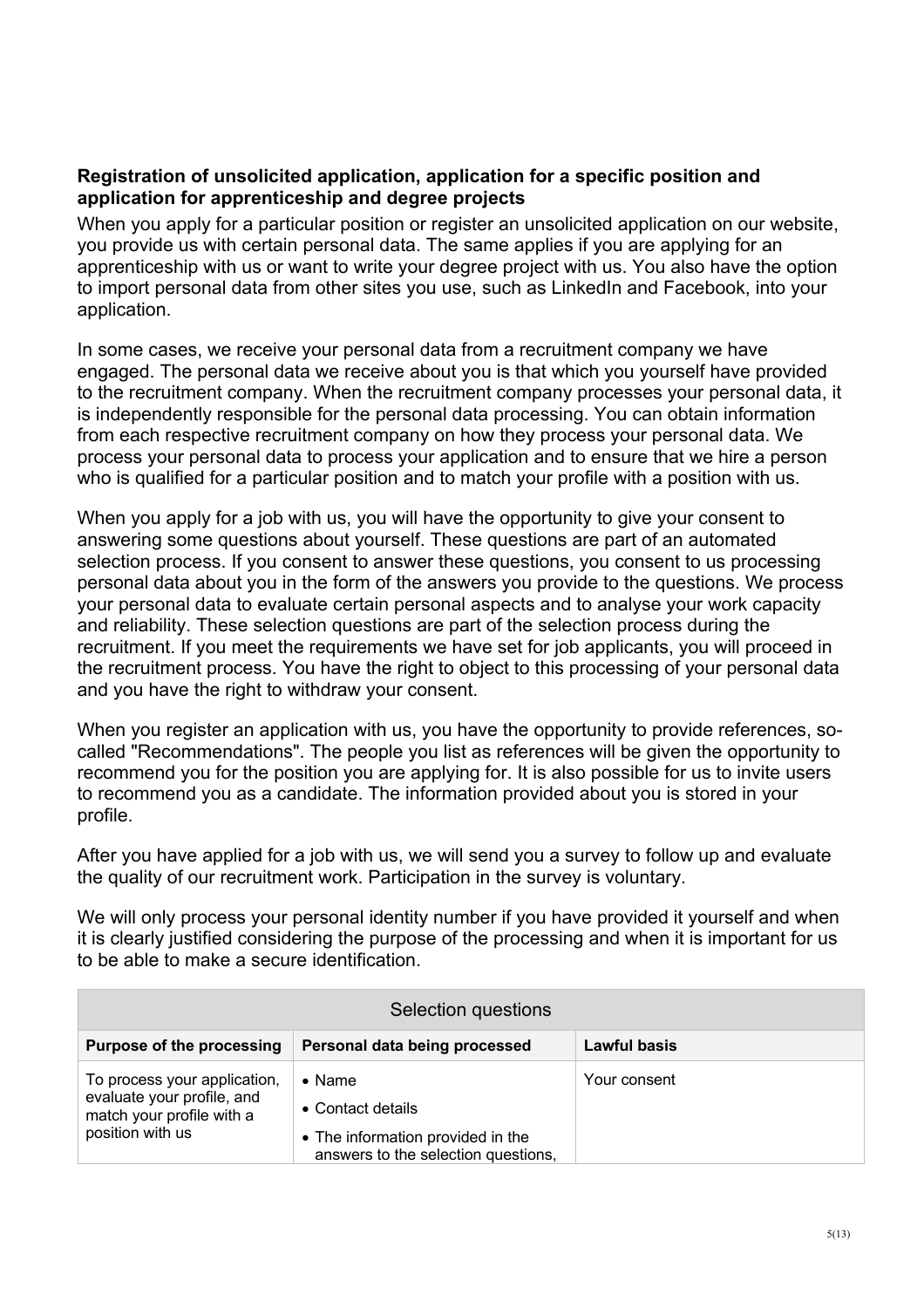#### **Registration of unsolicited application, application for a specific position and application for apprenticeship and degree projects**

When you apply for a particular position or register an unsolicited application on our website, you provide us with certain personal data. The same applies if you are applying for an apprenticeship with us or want to write your degree project with us. You also have the option to import personal data from other sites you use, such as LinkedIn and Facebook, into your application.

In some cases, we receive your personal data from a recruitment company we have engaged. The personal data we receive about you is that which you yourself have provided to the recruitment company. When the recruitment company processes your personal data, it is independently responsible for the personal data processing. You can obtain information from each respective recruitment company on how they process your personal data. We process your personal data to process your application and to ensure that we hire a person who is qualified for a particular position and to match your profile with a position with us.

When you apply for a job with us, you will have the opportunity to give your consent to answering some questions about yourself. These questions are part of an automated selection process. If you consent to answer these questions, you consent to us processing personal data about you in the form of the answers you provide to the questions. We process your personal data to evaluate certain personal aspects and to analyse your work capacity and reliability. These selection questions are part of the selection process during the recruitment. If you meet the requirements we have set for job applicants, you will proceed in the recruitment process. You have the right to object to this processing of your personal data and you have the right to withdraw your consent.

When you register an application with us, you have the opportunity to provide references, socalled "Recommendations". The people you list as references will be given the opportunity to recommend you for the position you are applying for. It is also possible for us to invite users to recommend you as a candidate. The information provided about you is stored in your profile.

After you have applied for a job with us, we will send you a survey to follow up and evaluate the quality of our recruitment work. Participation in the survey is voluntary.

We will only process your personal identity number if you have provided it yourself and when it is clearly justified considering the purpose of the processing and when it is important for us to be able to make a secure identification.

| Selection questions                                                                                         |                                                                                                                 |                     |
|-------------------------------------------------------------------------------------------------------------|-----------------------------------------------------------------------------------------------------------------|---------------------|
| <b>Purpose of the processing</b>                                                                            | Personal data being processed                                                                                   | <b>Lawful basis</b> |
| To process your application,<br>evaluate your profile, and<br>match your profile with a<br>position with us | $\bullet$ Name<br>• Contact details<br>• The information provided in the<br>answers to the selection questions, | Your consent        |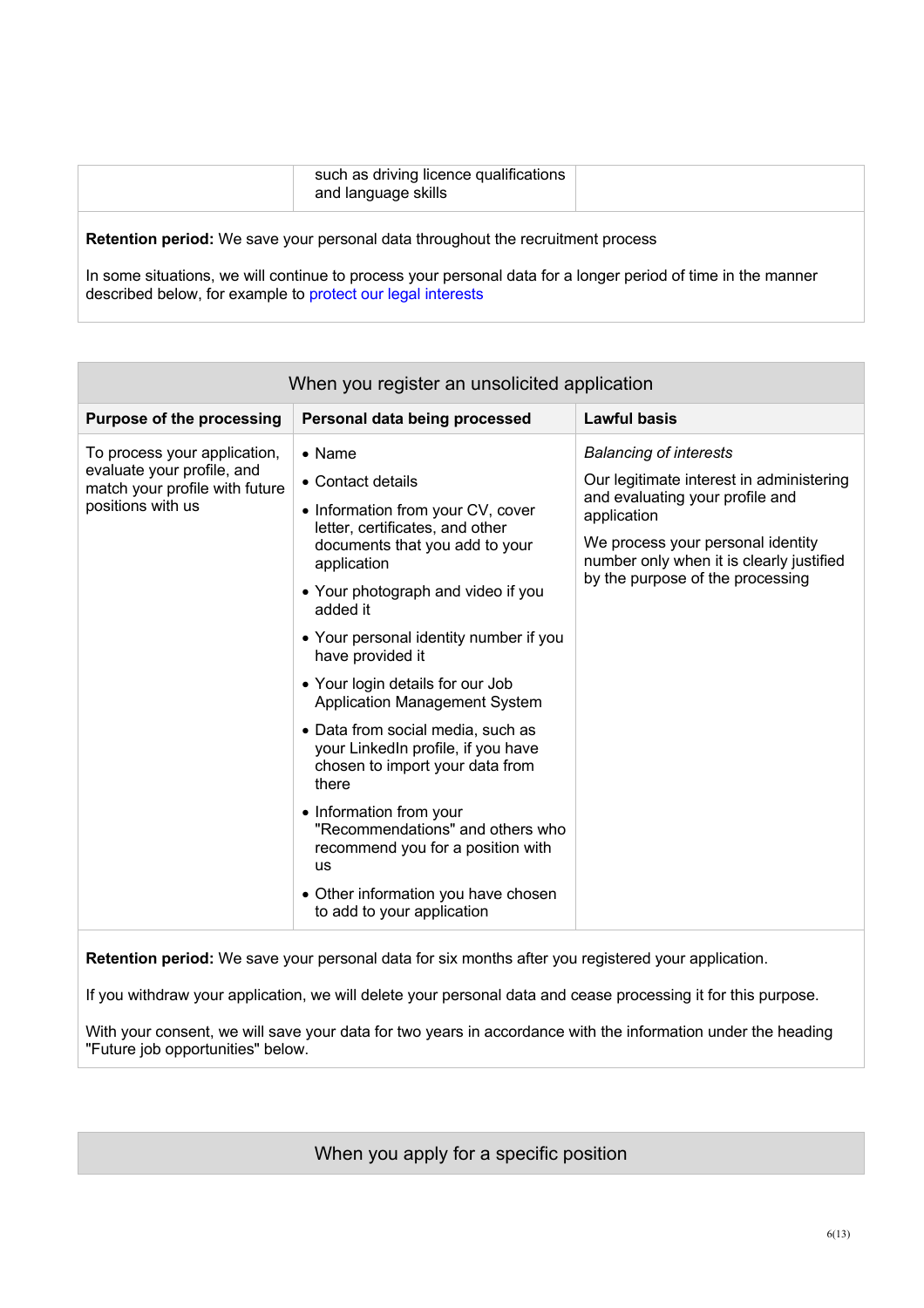| such as driving licence qualifications<br>and language skills |  |
|---------------------------------------------------------------|--|
|                                                               |  |

**Retention period:** We save your personal data throughout the recruitment process

In some situations, we will continue to process your personal data for a longer period of time in the manner described below, for example to protect our legal interests

| When you register an unsolicited application                                                                      |                                                                                                                                                                                                                                                                                                                                                                                                                                                                                                                                                                                                                                                               |                                                                                                                                                                                                                                                  |
|-------------------------------------------------------------------------------------------------------------------|---------------------------------------------------------------------------------------------------------------------------------------------------------------------------------------------------------------------------------------------------------------------------------------------------------------------------------------------------------------------------------------------------------------------------------------------------------------------------------------------------------------------------------------------------------------------------------------------------------------------------------------------------------------|--------------------------------------------------------------------------------------------------------------------------------------------------------------------------------------------------------------------------------------------------|
| <b>Purpose of the processing</b>                                                                                  | Personal data being processed                                                                                                                                                                                                                                                                                                                                                                                                                                                                                                                                                                                                                                 | <b>Lawful basis</b>                                                                                                                                                                                                                              |
| To process your application,<br>evaluate your profile, and<br>match your profile with future<br>positions with us | • Name<br>• Contact details<br>• Information from your CV, cover<br>letter, certificates, and other<br>documents that you add to your<br>application<br>• Your photograph and video if you<br>added it<br>• Your personal identity number if you<br>have provided it<br>• Your login details for our Job<br><b>Application Management System</b><br>• Data from social media, such as<br>your LinkedIn profile, if you have<br>chosen to import your data from<br>there<br>• Information from your<br>"Recommendations" and others who<br>recommend you for a position with<br><b>US</b><br>• Other information you have chosen<br>to add to your application | <b>Balancing of interests</b><br>Our legitimate interest in administering<br>and evaluating your profile and<br>application<br>We process your personal identity<br>number only when it is clearly justified<br>by the purpose of the processing |

**Retention period:** We save your personal data for six months after you registered your application.

If you withdraw your application, we will delete your personal data and cease processing it for this purpose.

With your consent, we will save your data for two years in accordance with the information under the heading "Future job opportunities" below.

When you apply for a specific position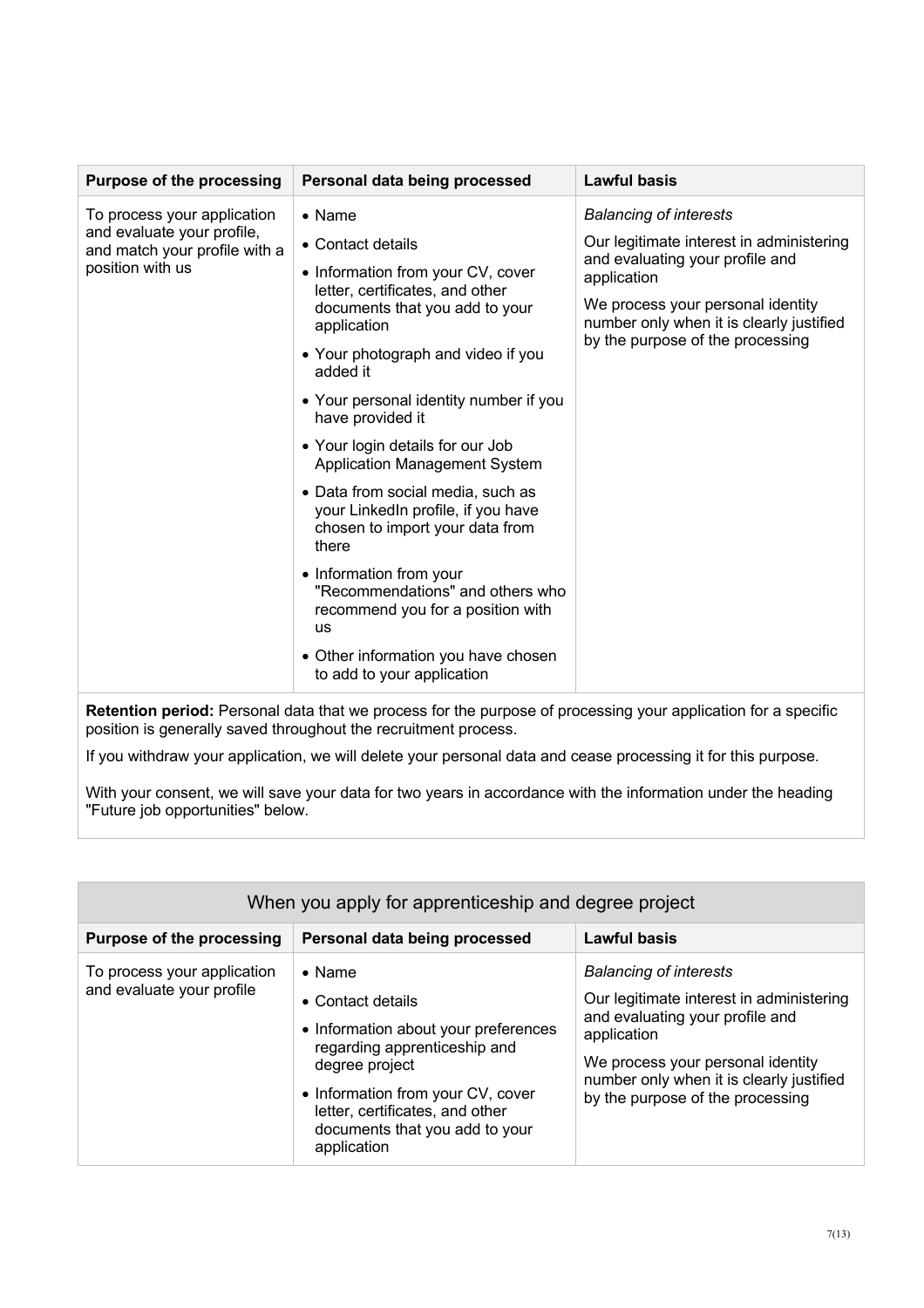| <b>Purpose of the processing</b>                            | Personal data being processed                                                                                       | Lawful basis                                                                  |
|-------------------------------------------------------------|---------------------------------------------------------------------------------------------------------------------|-------------------------------------------------------------------------------|
| To process your application                                 | $\bullet$ Name                                                                                                      | <b>Balancing of interests</b>                                                 |
| and evaluate your profile,<br>and match your profile with a | • Contact details                                                                                                   | Our legitimate interest in administering                                      |
| position with us                                            | • Information from your CV, cover                                                                                   | and evaluating your profile and<br>application                                |
|                                                             | letter, certificates, and other<br>documents that you add to your<br>application                                    | We process your personal identity<br>number only when it is clearly justified |
|                                                             | • Your photograph and video if you<br>added it                                                                      | by the purpose of the processing                                              |
|                                                             | • Your personal identity number if you<br>have provided it                                                          |                                                                               |
|                                                             | • Your login details for our Job<br><b>Application Management System</b>                                            |                                                                               |
|                                                             | • Data from social media, such as<br>your LinkedIn profile, if you have<br>chosen to import your data from<br>there |                                                                               |
|                                                             | • Information from your<br>"Recommendations" and others who<br>recommend you for a position with<br>us              |                                                                               |
|                                                             | • Other information you have chosen<br>to add to your application                                                   |                                                                               |

**Retention period:** Personal data that we process for the purpose of processing your application for a specific position is generally saved throughout the recruitment process.

If you withdraw your application, we will delete your personal data and cease processing it for this purpose.

With your consent, we will save your data for two years in accordance with the information under the heading "Future job opportunities" below.

| When you apply for apprenticeship and degree project     |                                                                                                                                                                                                                                                        |                                                                                                                                                                                                                                                  |
|----------------------------------------------------------|--------------------------------------------------------------------------------------------------------------------------------------------------------------------------------------------------------------------------------------------------------|--------------------------------------------------------------------------------------------------------------------------------------------------------------------------------------------------------------------------------------------------|
| <b>Purpose of the processing</b>                         | Personal data being processed                                                                                                                                                                                                                          | <b>Lawful basis</b>                                                                                                                                                                                                                              |
| To process your application<br>and evaluate your profile | $\bullet$ Name<br>• Contact details<br>• Information about your preferences<br>regarding apprenticeship and<br>degree project<br>• Information from your CV, cover<br>letter, certificates, and other<br>documents that you add to your<br>application | <b>Balancing of interests</b><br>Our legitimate interest in administering<br>and evaluating your profile and<br>application<br>We process your personal identity<br>number only when it is clearly justified<br>by the purpose of the processing |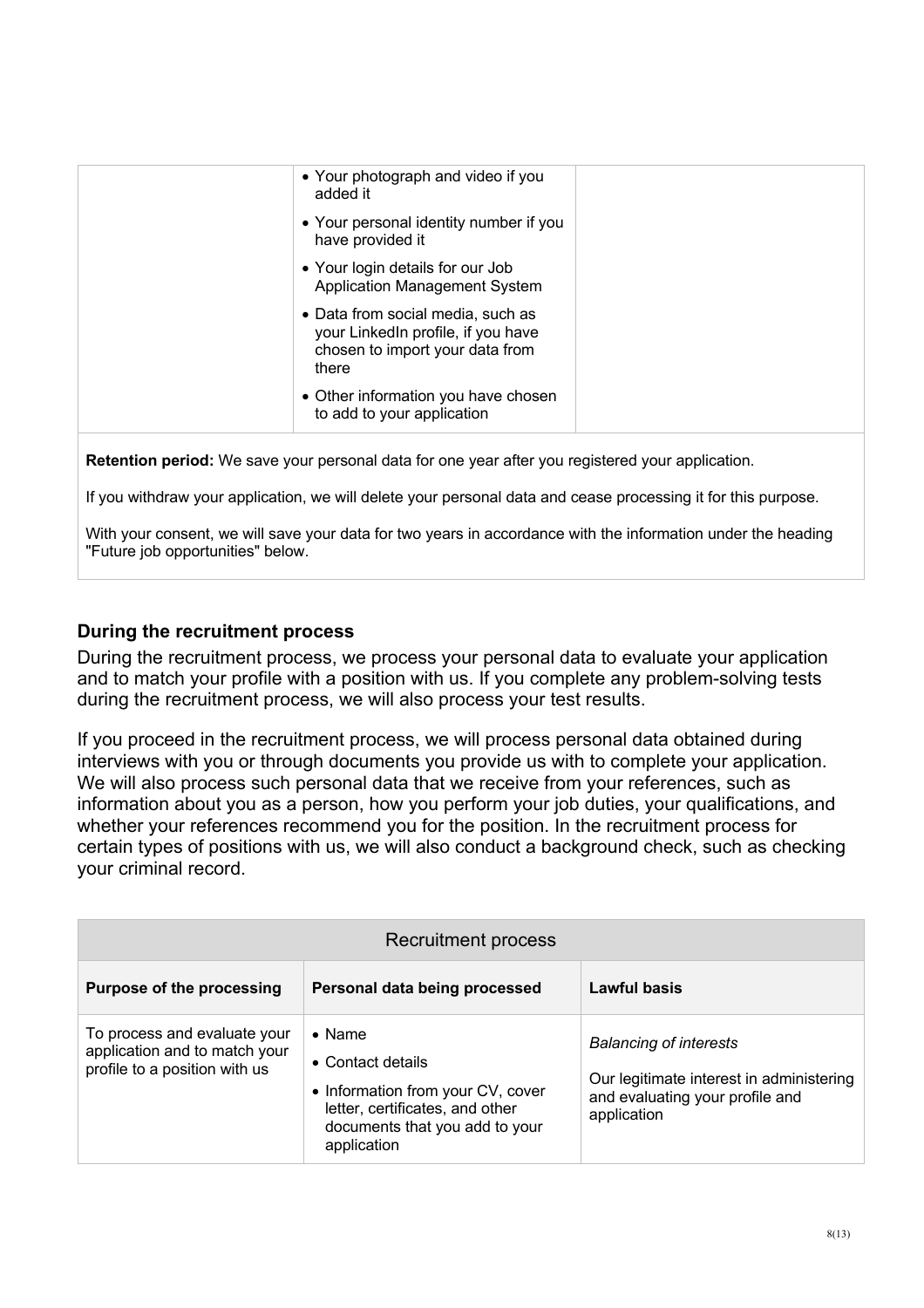| • Your photograph and video if you<br>added it                                                                      |  |
|---------------------------------------------------------------------------------------------------------------------|--|
| • Your personal identity number if you<br>have provided it                                                          |  |
| • Your login details for our Job<br><b>Application Management System</b>                                            |  |
| • Data from social media, such as<br>your LinkedIn profile, if you have<br>chosen to import your data from<br>there |  |
| • Other information you have chosen<br>to add to your application                                                   |  |

**Retention period:** We save your personal data for one year after you registered your application.

If you withdraw your application, we will delete your personal data and cease processing it for this purpose.

With your consent, we will save your data for two years in accordance with the information under the heading "Future job opportunities" below.

#### **During the recruitment process**

During the recruitment process, we process your personal data to evaluate your application and to match your profile with a position with us. If you complete any problem-solving tests during the recruitment process, we will also process your test results.

If you proceed in the recruitment process, we will process personal data obtained during interviews with you or through documents you provide us with to complete your application. We will also process such personal data that we receive from your references, such as information about you as a person, how you perform your job duties, your qualifications, and whether your references recommend you for the position. In the recruitment process for certain types of positions with us, we will also conduct a background check, such as checking your criminal record.

| Recruitment process                                                                            |                                                                                                                                                              |                                                                                                                             |
|------------------------------------------------------------------------------------------------|--------------------------------------------------------------------------------------------------------------------------------------------------------------|-----------------------------------------------------------------------------------------------------------------------------|
| <b>Purpose of the processing</b>                                                               | Personal data being processed                                                                                                                                | Lawful basis                                                                                                                |
| To process and evaluate your<br>application and to match your<br>profile to a position with us | $\bullet$ Name<br>• Contact details<br>• Information from your CV, cover<br>letter, certificates, and other<br>documents that you add to your<br>application | <b>Balancing of interests</b><br>Our legitimate interest in administering<br>and evaluating your profile and<br>application |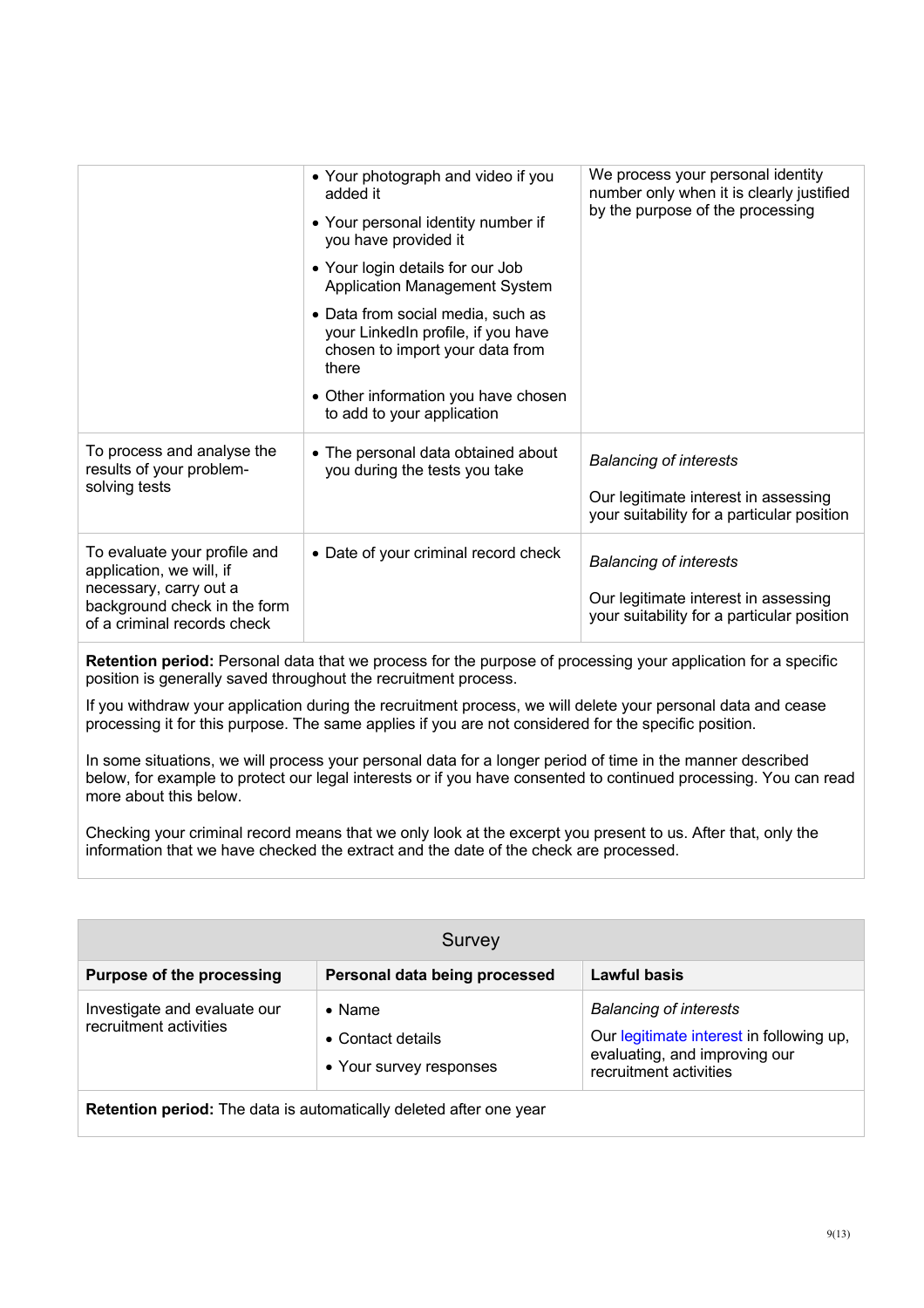|                                                                                       | • Your photograph and video if you<br>added it                                                                      | We process your personal identity<br>number only when it is clearly justified<br>by the purpose of the processing |
|---------------------------------------------------------------------------------------|---------------------------------------------------------------------------------------------------------------------|-------------------------------------------------------------------------------------------------------------------|
|                                                                                       | • Your personal identity number if<br>you have provided it                                                          |                                                                                                                   |
|                                                                                       | • Your login details for our Job<br><b>Application Management System</b>                                            |                                                                                                                   |
|                                                                                       | • Data from social media, such as<br>your LinkedIn profile, if you have<br>chosen to import your data from<br>there |                                                                                                                   |
|                                                                                       | • Other information you have chosen<br>to add to your application                                                   |                                                                                                                   |
| To process and analyse the<br>results of your problem-                                | • The personal data obtained about<br>you during the tests you take                                                 | <b>Balancing of interests</b>                                                                                     |
| solving tests                                                                         |                                                                                                                     | Our legitimate interest in assessing<br>your suitability for a particular position                                |
| To evaluate your profile and<br>application, we will, if                              | • Date of your criminal record check                                                                                | <b>Balancing of interests</b>                                                                                     |
| necessary, carry out a<br>background check in the form<br>of a criminal records check |                                                                                                                     | Our legitimate interest in assessing<br>your suitability for a particular position                                |

**Retention period:** Personal data that we process for the purpose of processing your application for a specific position is generally saved throughout the recruitment process.

If you withdraw your application during the recruitment process, we will delete your personal data and cease processing it for this purpose. The same applies if you are not considered for the specific position.

In some situations, we will process your personal data for a longer period of time in the manner described below, for example to protect our legal interests or if you have consented to continued processing. You can read more about this below.

Checking your criminal record means that we only look at the excerpt you present to us. After that, only the information that we have checked the extract and the date of the check are processed.

| Survey                                                             |                                                                |                                                                                                                                      |  |  |
|--------------------------------------------------------------------|----------------------------------------------------------------|--------------------------------------------------------------------------------------------------------------------------------------|--|--|
| <b>Purpose of the processing</b>                                   | Personal data being processed                                  | Lawful basis                                                                                                                         |  |  |
| Investigate and evaluate our<br>recruitment activities             | $\bullet$ Name<br>• Contact details<br>• Your survey responses | <b>Balancing of interests</b><br>Our legitimate interest in following up,<br>evaluating, and improving our<br>recruitment activities |  |  |
| Retention period: The data is automatically deleted after one year |                                                                |                                                                                                                                      |  |  |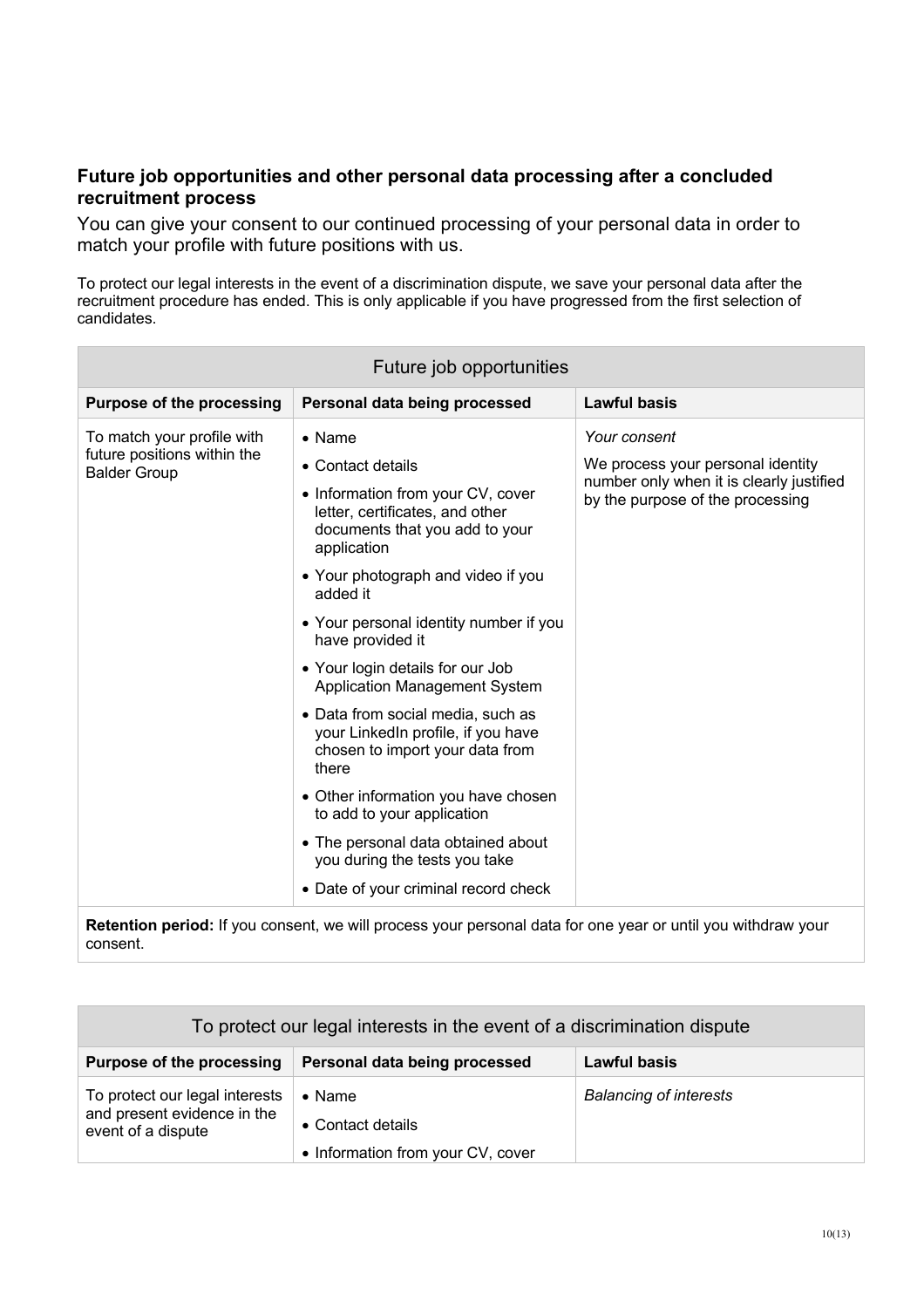#### **Future job opportunities and other personal data processing after a concluded recruitment process**

You can give your consent to our continued processing of your personal data in order to match your profile with future positions with us.

To protect our legal interests in the event of a discrimination dispute, we save your personal data after the recruitment procedure has ended. This is only applicable if you have progressed from the first selection of candidates.

**Retention period:** If you consent, we will process your personal data for one year or until you withdraw your consent.

| To protect our legal interests in the event of a discrimination dispute             |                                                                          |                               |  |
|-------------------------------------------------------------------------------------|--------------------------------------------------------------------------|-------------------------------|--|
| <b>Purpose of the processing</b>                                                    | Personal data being processed                                            | Lawful basis                  |  |
| To protect our legal interests<br>and present evidence in the<br>event of a dispute | $\bullet$ Name<br>• Contact details<br>• Information from your CV, cover | <b>Balancing of interests</b> |  |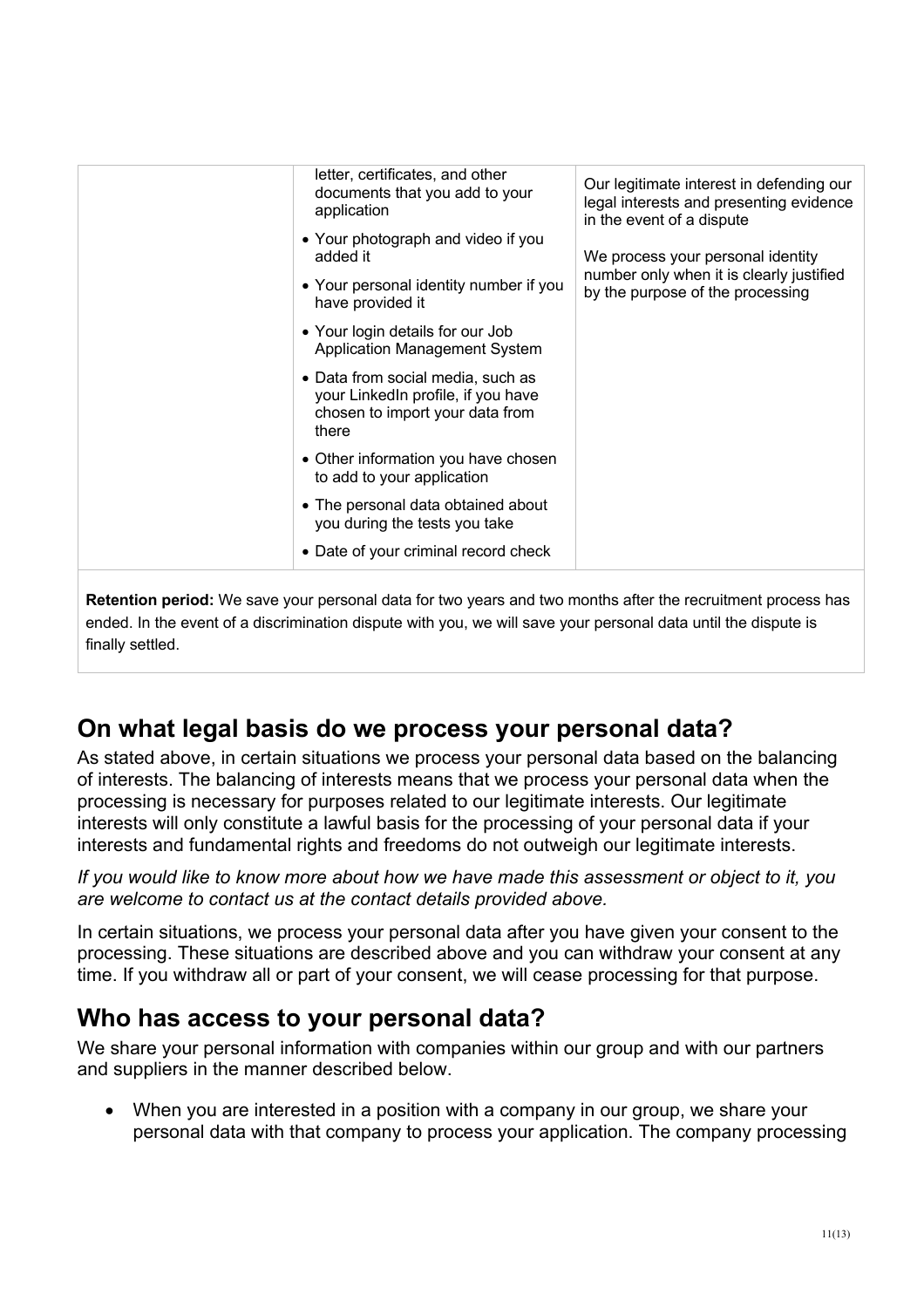| letter, certificates, and other<br>documents that you add to your<br>application                                    | Our legitimate interest in defending our<br>legal interests and presenting evidence<br>in the event of a dispute  |
|---------------------------------------------------------------------------------------------------------------------|-------------------------------------------------------------------------------------------------------------------|
| • Your photograph and video if you<br>added it                                                                      | We process your personal identity<br>number only when it is clearly justified<br>by the purpose of the processing |
| • Your personal identity number if you<br>have provided it                                                          |                                                                                                                   |
| • Your login details for our Job<br>Application Management System                                                   |                                                                                                                   |
| • Data from social media, such as<br>your LinkedIn profile, if you have<br>chosen to import your data from<br>there |                                                                                                                   |
| • Other information you have chosen<br>to add to your application                                                   |                                                                                                                   |
| • The personal data obtained about<br>you during the tests you take                                                 |                                                                                                                   |
| • Date of your criminal record check                                                                                |                                                                                                                   |
|                                                                                                                     |                                                                                                                   |

**Retention period:** We save your personal data for two years and two months after the recruitment process has ended. In the event of a discrimination dispute with you, we will save your personal data until the dispute is finally settled.

## **On what legal basis do we process your personal data?**

As stated above, in certain situations we process your personal data based on the balancing of interests. The balancing of interests means that we process your personal data when the processing is necessary for purposes related to our legitimate interests. Our legitimate interests will only constitute a lawful basis for the processing of your personal data if your interests and fundamental rights and freedoms do not outweigh our legitimate interests.

*If you would like to know more about how we have made this assessment or object to it, you are welcome to contact us at the contact details provided above.*

In certain situations, we process your personal data after you have given your consent to the processing. These situations are described above and you can withdraw your consent at any time. If you withdraw all or part of your consent, we will cease processing for that purpose.

## **Who has access to your personal data?**

We share your personal information with companies within our group and with our partners and suppliers in the manner described below.

• When you are interested in a position with a company in our group, we share your personal data with that company to process your application. The company processing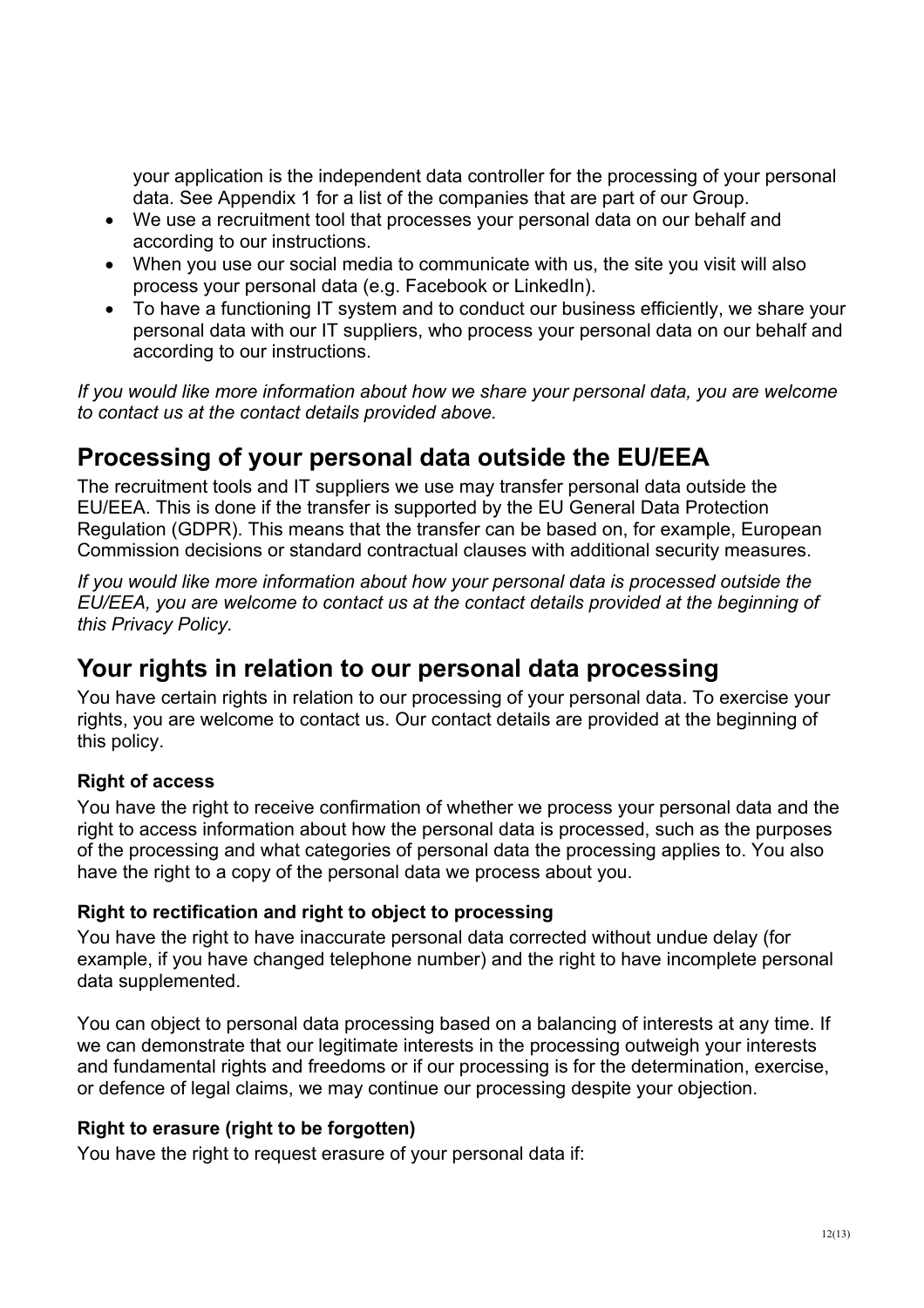your application is the independent data controller for the processing of your personal data. See Appendix 1 for a list of the companies that are part of our Group.

- We use a recruitment tool that processes your personal data on our behalf and according to our instructions.
- When you use our social media to communicate with us, the site you visit will also process your personal data (e.g. Facebook or LinkedIn).
- To have a functioning IT system and to conduct our business efficiently, we share your personal data with our IT suppliers, who process your personal data on our behalf and according to our instructions.

*If you would like more information about how we share your personal data, you are welcome to contact us at the contact details provided above.*

## **Processing of your personal data outside the EU/EEA**

The recruitment tools and IT suppliers we use may transfer personal data outside the EU/EEA. This is done if the transfer is supported by the EU General Data Protection Regulation (GDPR). This means that the transfer can be based on, for example, European Commission decisions or standard contractual clauses with additional security measures.

*If you would like more information about how your personal data is processed outside the EU/EEA, you are welcome to contact us at the contact details provided at the beginning of this Privacy Policy.*

## **Your rights in relation to our personal data processing**

You have certain rights in relation to our processing of your personal data. To exercise your rights, you are welcome to contact us. Our contact details are provided at the beginning of this policy.

## **Right of access**

You have the right to receive confirmation of whether we process your personal data and the right to access information about how the personal data is processed, such as the purposes of the processing and what categories of personal data the processing applies to. You also have the right to a copy of the personal data we process about you.

## **Right to rectification and right to object to processing**

You have the right to have inaccurate personal data corrected without undue delay (for example, if you have changed telephone number) and the right to have incomplete personal data supplemented.

You can object to personal data processing based on a balancing of interests at any time. If we can demonstrate that our legitimate interests in the processing outweigh your interests and fundamental rights and freedoms or if our processing is for the determination, exercise, or defence of legal claims, we may continue our processing despite your objection.

## **Right to erasure (right to be forgotten)**

You have the right to request erasure of your personal data if: